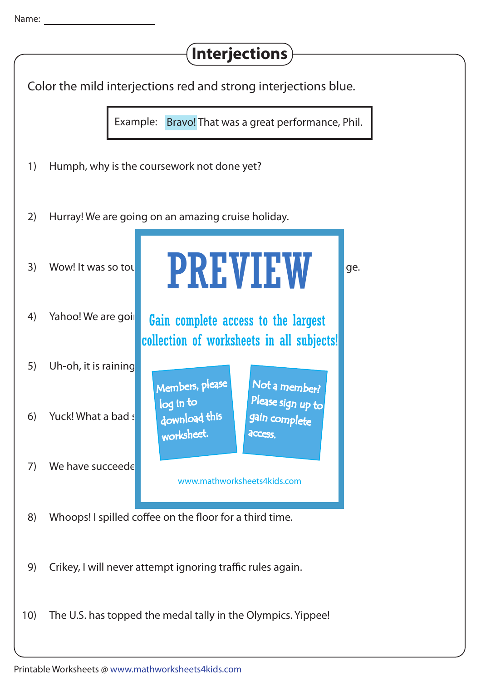| <b>Interjections</b> |                                                                                                                        |
|----------------------|------------------------------------------------------------------------------------------------------------------------|
|                      | Color the mild interjections red and strong interjections blue.                                                        |
|                      | Example: Bravo! That was a great performance, Phil.                                                                    |
| 1)                   | Humph, why is the coursework not done yet?                                                                             |
| 2)                   | Hurray! We are going on an amazing cruise holiday.                                                                     |
| 3)                   | <b>PREVIEW</b><br>Wow! It was so tou<br>ge.                                                                            |
| 4)                   | Yahoo! We are goil<br>Gain complete access to the largest<br>collection of worksheets in all subjects!                 |
| 5)                   | Uh-oh, it is raining<br>Members, please<br>Not a member?                                                               |
| 6)                   | Please sign up to<br>log in to<br>download this<br>Yuck! What a bad s<br>gain complete<br>worksheet.<br><b>ACCESS.</b> |
| 7)                   | We have succeede<br>www.mathworksheets4kids.com                                                                        |
| 8)                   | Whoops! I spilled coffee on the floor for a third time.                                                                |
| 9)                   | Crikey, I will never attempt ignoring traffic rules again.                                                             |
| 10)                  | The U.S. has topped the medal tally in the Olympics. Yippee!                                                           |